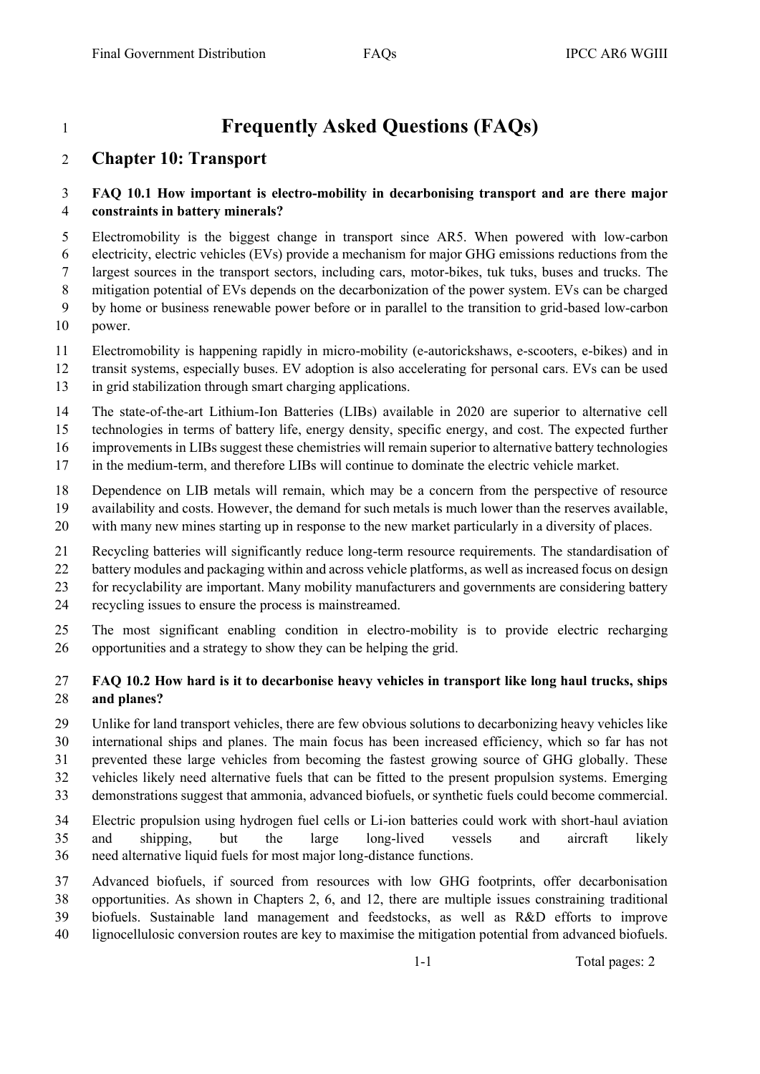# **Frequently Asked Questions (FAQs)**

## **Chapter 10: Transport**

#### **FAQ 10.1 How important is electro-mobility in decarbonising transport and are there major constraints in battery minerals?**

 Electromobility is the biggest change in transport since AR5. When powered with low-carbon electricity, electric vehicles (EVs) provide a mechanism for major GHG emissions reductions from the largest sources in the transport sectors, including cars, motor-bikes, tuk tuks, buses and trucks. The mitigation potential of EVs depends on the decarbonization of the power system. EVs can be charged by home or business renewable power before or in parallel to the transition to grid-based low-carbon

- power.
- Electromobility is happening rapidly in micro-mobility (e-autorickshaws, e-scooters, e-bikes) and in
- transit systems, especially buses. EV adoption is also accelerating for personal cars. EVs can be used
- in grid stabilization through smart charging applications.
- The state-of-the-art Lithium-Ion Batteries (LIBs) available in 2020 are superior to alternative cell
- technologies in terms of battery life, energy density, specific energy, and cost. The expected further
- improvements in LIBs suggest these chemistries will remain superior to alternative battery technologies
- in the medium-term, and therefore LIBs will continue to dominate the electric vehicle market.
- Dependence on LIB metals will remain, which may be a concern from the perspective of resource
- availability and costs. However, the demand for such metals is much lower than the reserves available,
- with many new mines starting up in response to the new market particularly in a diversity of places.
- Recycling batteries will significantly reduce long-term resource requirements. The standardisation of
- 22 battery modules and packaging within and across vehicle platforms, as well as increased focus on design
- for recyclability are important. Many mobility manufacturers and governments are considering battery
- recycling issues to ensure the process is mainstreamed.
- The most significant enabling condition in electro-mobility is to provide electric recharging opportunities and a strategy to show they can be helping the grid.

### **FAQ 10.2 How hard is it to decarbonise heavy vehicles in transport like long haul trucks, ships and planes?**

 Unlike for land transport vehicles, there are few obvious solutions to decarbonizing heavy vehicles like international ships and planes. The main focus has been increased efficiency, which so far has not prevented these large vehicles from becoming the fastest growing source of GHG globally. These vehicles likely need alternative fuels that can be fitted to the present propulsion systems. Emerging demonstrations suggest that ammonia, advanced biofuels, or synthetic fuels could become commercial.

- Electric propulsion using hydrogen fuel cells or Li-ion batteries could work with short-haul aviation and shipping, but the large long-lived vessels and aircraft likely need alternative liquid fuels for most major long-distance functions.
- Advanced biofuels, if sourced from resources with low GHG footprints, offer decarbonisation opportunities. As shown in Chapters 2, 6, and 12, there are multiple issues constraining traditional biofuels. Sustainable land management and feedstocks, as well as R&D efforts to improve lignocellulosic conversion routes are key to maximise the mitigation potential from advanced biofuels.

1-1 Total pages: 2